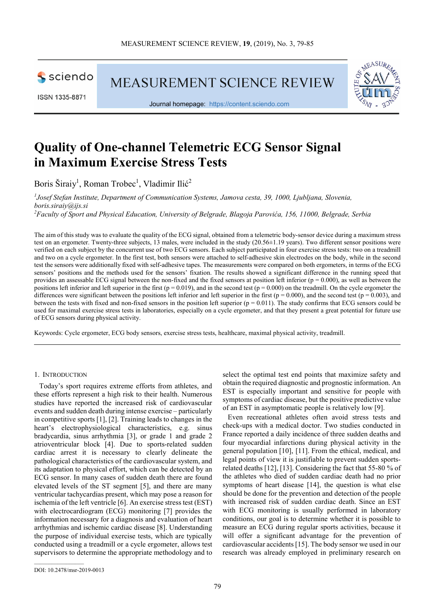sciendo

ISSN 1335-8871

MEASUREMENT SCIENCE REVIEW



Journal homepage: https://content.sciendo.com

# **Quality of One-channel Telemetric ECG Sensor Signal in Maximum Exercise Stress Tests**

Boris Širaiy<sup>1</sup>, Roman Trobec<sup>1</sup>, Vladimir Ilić<sup>2</sup>

*1 Josef Stefan Institute, Department of Communication Systems, Jamova cesta, 39, 1000, Ljubljana, Slovenia, boris.siraiy@ijs.si <sup>2</sup>Faculty of Sport and Physical Education, University of Belgrade, Blagoja Parovića, 156, 11000, Belgrade, Serbia* 

The aim of this study was to evaluate the quality of the ECG signal, obtained from a telemetric body-sensor device during a maximum stress test on an ergometer. Twenty-three subjects, 13 males, were included in the study (20.56±1.19 years). Two different sensor positions were verified on each subject by the concurrent use of two ECG sensors. Each subject participated in four exercise stress tests: two on a treadmill and two on a cycle ergometer. In the first test, both sensors were attached to self-adhesive skin electrodes on the body, while in the second test the sensors were additionally fixed with self-adhesive tapes. The measurements were compared on both ergometers, in terms of the ECG sensors' positions and the methods used for the sensors' fixation. The results showed a significant difference in the running speed that provides an assessable ECG signal between the non-fixed and the fixed sensors at position left inferior  $(p = 0.000)$ , as well as between the positions left inferior and left superior in the first ( $p = 0.019$ ), and in the second test ( $p = 0.000$ ) on the treadmill. On the cycle ergometer the differences were significant between the positions left inferior and left superior in the first ( $p = 0.000$ ), and the second test ( $p = 0.003$ ), and between the tests with fixed and non-fixed sensors in the position left superior ( $p = 0.011$ ). The study confirms that ECG sensors could be used for maximal exercise stress tests in laboratories, especially on a cycle ergometer, and that they present a great potential for future use of ECG sensors during physical activity.

Keywords: Cycle ergometer, ECG body sensors, exercise stress tests, healthcare, maximal physical activity, treadmill.

## 1. INTRODUCTION

Today's sport requires extreme efforts from athletes, and these efforts represent a high risk to their health. Numerous studies have reported the increased risk of cardiovascular events and sudden death during intense exercise – particularly in competitive sports [1], [2]. Training leads to changes in the heart's electrophysiological characteristics, e.g. sinus bradycardia, sinus arrhythmia [3], or grade 1 and grade 2 atrioventricular block [4]. Due to sports-related sudden cardiac arrest it is necessary to clearly delineate the pathological characteristics of the cardiovascular system, and its adaptation to physical effort, which can be detected by an ECG sensor. In many cases of sudden death there are found elevated levels of the ST segment [5], and there are many ventricular tachycardias present, which may pose a reason for ischemia of the left ventricle [6]. An exercise stress test (EST) with electrocardiogram (ECG) monitoring [7] provides the information necessary for a diagnosis and evaluation of heart arrhythmias and ischemic cardiac disease [8]. Understanding the purpose of individual exercise tests, which are typically conducted using a treadmill or a cycle ergometer, allows test supervisors to determine the appropriate methodology and to select the optimal test end points that maximize safety and obtain the required diagnostic and prognostic information. An EST is especially important and sensitive for people with symptoms of cardiac disease, but the positive predictive value of an EST in asymptomatic people is relatively low [9].

Even recreational athletes often avoid stress tests and check-ups with a medical doctor. Two studies conducted in France reported a daily incidence of three sudden deaths and four myocardial infarctions during physical activity in the general population [10], [11]. From the ethical, medical, and legal points of view it is justifiable to prevent sudden sportsrelated deaths [12], [13]. Considering the fact that 55-80 % of the athletes who died of sudden cardiac death had no prior symptoms of heart disease [14], the question is what else should be done for the prevention and detection of the people with increased risk of sudden cardiac death. Since an EST with ECG monitoring is usually performed in laboratory conditions, our goal is to determine whether it is possible to measure an ECG during regular sports activities, because it will offer a significant advantage for the prevention of cardiovascular accidents [15]. The body sensor we used in our research was already employed in preliminary research on

DOI: 10.2478/msr-2019-0013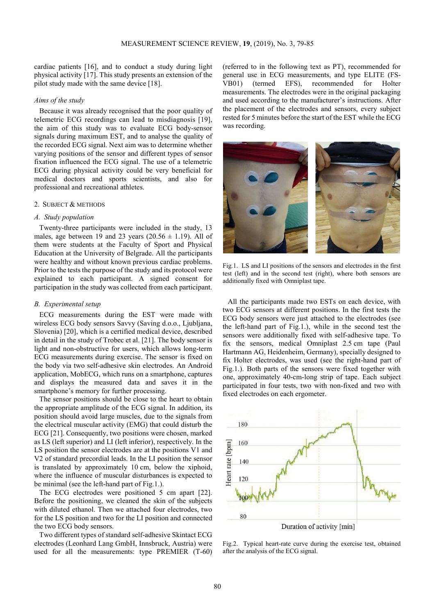cardiac patients [16], and to conduct a study during light physical activity [17]. This study presents an extension of the pilot study made with the same device [18].

# *Aims of the study*

Because it was already recognised that the poor quality of telemetric ECG recordings can lead to misdiagnosis [19], the aim of this study was to evaluate ECG body-sensor signals during maximum EST, and to analyse the quality of the recorded ECG signal. Next aim was to determine whether varying positions of the sensor and different types of sensor fixation influenced the ECG signal. The use of a telemetric ECG during physical activity could be very beneficial for medical doctors and sports scientists, and also for professional and recreational athletes.

## 2. SUBJECT & METHODS

## *A. Study population*

Twenty-three participants were included in the study, 13 males, age between 19 and 23 years ( $20.56 \pm 1.19$ ). All of them were students at the Faculty of Sport and Physical Education at the University of Belgrade. All the participants were healthy and without known previous cardiac problems. Prior to the tests the purpose of the study and its protocol were explained to each participant. A signed consent for participation in the study was collected from each participant.

#### *B. Experimental setup*

ECG measurements during the EST were made with wireless ECG body sensors Savvy (Saving d.o.o., Ljubljana, Slovenia) [20], which is a certified medical device, described in detail in the study of Trobec et al. [21]. The body sensor is light and non-obstructive for users, which allows long-term ECG measurements during exercise. The sensor is fixed on the body via two self-adhesive skin electrodes. An Android application, MobECG, which runs on a smartphone, captures and displays the measured data and saves it in the smartphone's memory for further processing.

The sensor positions should be close to the heart to obtain the appropriate amplitude of the ECG signal. In addition, its position should avoid large muscles, due to the signals from the electrical muscular activity (EMG) that could disturb the ECG [21]. Consequently, two positions were chosen, marked as LS (left superior) and LI (left inferior), respectively. In the LS position the sensor electrodes are at the positions V1 and V2 of standard precordial leads. In the LI position the sensor is translated by approximately 10 cm, below the xiphoid, where the influence of muscular disturbances is expected to be minimal (see the left-hand part of Fig.1.).

The ECG electrodes were positioned 5 cm apart [22]. Before the positioning, we cleaned the skin of the subjects with diluted ethanol. Then we attached four electrodes, two for the LS position and two for the LI position and connected the two ECG body sensors.

Two different types of standard self-adhesive Skintact ECG electrodes (Leonhard Lang GmbH, Innsbruck, Austria) were used for all the measurements: type PREMIER (T-60) (referred to in the following text as PT), recommended for general use in ECG measurements, and type ELITE (FS-VB01) (termed EFS), recommended for Holter measurements. The electrodes were in the original packaging and used according to the manufacturer's instructions. After the placement of the electrodes and sensors, every subject rested for 5 minutes before the start of the EST while the ECG was recording.



Fig.1. LS and LI positions of the sensors and electrodes in the first test (left) and in the second test (right), where both sensors are additionally fixed with Omniplast tape.

All the participants made two ESTs on each device, with two ECG sensors at different positions. In the first tests the ECG body sensors were just attached to the electrodes (see the left-hand part of Fig.1.), while in the second test the sensors were additionally fixed with self-adhesive tape. To fix the sensors, medical Omniplast 2.5 cm tape (Paul Hartmann AG, Heidenheim, Germany), specially designed to fix Holter electrodes, was used (see the right-hand part of Fig.1.). Both parts of the sensors were fixed together with one, approximately 40-cm-long strip of tape. Each subject participated in four tests, two with non-fixed and two with fixed electrodes on each ergometer.



Fig.2. Typical heart-rate curve during the exercise test, obtained after the analysis of the ECG signal.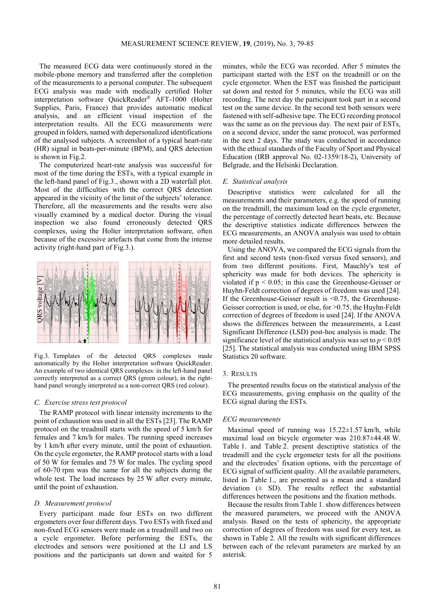The measured ECG data were continuously stored in the mobile-phone memory and transferred after the completion of the measurements to a personal computer. The subsequent ECG analysis was made with medically certified Holter interpretation software QuickReader® AFT-1000 (Holter Supplies, Paris, France) that provides automatic medical analysis, and an efficient visual inspection of the interpretation results. All the ECG measurements were grouped in folders, named with depersonalized identifications of the analysed subjects. A screenshot of a typical heart-rate (HR) signal in beats-per-minute (BPM), and QRS detection is shown in Fig.2.

The computerized heart-rate analysis was successful for most of the time during the ESTs, with a typical example in the left-hand panel of Fig.3., shown with a 2D waterfall plot. Most of the difficulties with the correct QRS detection appeared in the vicinity of the limit of the subjects' tolerance. Therefore, all the measurements and the results were also visually examined by a medical doctor. During the visual inspection we also found erroneously detected QRS complexes, using the Holter interpretation software, often because of the excessive artefacts that come from the intense activity (right-hand part of Fig.3.).



Fig.3. Templates of the detected QRS complexes made automatically by the Holter interpretation software QuickReader. An example of two identical QRS complexes: in the left-hand panel correctly interpreted as a correct QRS (green colour), in the righthand panel wrongly interpreted as a non-correct QRS (red colour).

#### *C. Exercise stress test protocol*

The RAMP protocol with linear intensity increments to the point of exhaustion was used in all the ESTs [23]. The RAMP protocol on the treadmill starts with the speed of 5 km/h for females and 7 km/h for males. The running speed increases by 1 km/h after every minute, until the point of exhaustion. On the cycle ergometer, the RAMP protocol starts with a load of 50 W for females and 75 W for males. The cycling speed of 60-70 rpm was the same for all the subjects during the whole test. The load increases by 25 W after every minute, until the point of exhaustion.

#### *D. Measurement protocol*

Every participant made four ESTs on two different ergometers over four different days. Two ESTs with fixed and non-fixed ECG sensors were made on a treadmill and two on a cycle ergometer. Before performing the ESTs, the electrodes and sensors were positioned at the LI and LS positions and the participants sat down and waited for 5 minutes, while the ECG was recorded. After 5 minutes the participant started with the EST on the treadmill or on the cycle ergometer. When the EST was finished the participant sat down and rested for 5 minutes, while the ECG was still recording. The next day the participant took part in a second test on the same device. In the second test both sensors were fastened with self-adhesive tape. The ECG recording protocol was the same as on the previous day. The next pair of ESTs, on a second device, under the same protocol, was performed in the next 2 days. The study was conducted in accordance with the ethical standards of the Faculty of Sport and Physical Education (IRB approval No. 02-1359/18-2), University of Belgrade, and the Helsinki Declaration.

#### *E. Statistical analysis*

Descriptive statistics were calculated for all the measurements and their parameters, e.g. the speed of running on the treadmill, the maximum load on the cycle ergometer, the percentage of correctly detected heart beats, etc. Because the descriptive statistics indicate differences between the ECG measurements, an ANOVA analysis was used to obtain more detailed results.

Using the ANOVA, we compared the ECG signals from the first and second tests (non-fixed versus fixed sensors), and from two different positions. First, Mauchly's test of sphericity was made for both devices. The sphericity is violated if p < 0.05; in this case the Greenhouse-Geisser or Huyhn-Feldt correction of degrees of freedom was used [24]. If the Greenhouse-Geisser result is <0.75, the Greenhouse-Geisser correction is used, or else, for >0.75, the Huyhn-Feldt correction of degrees of freedom is used [24]. If the ANOVA shows the differences between the measurements, a Least Significant Difference (LSD) post-hoc analysis is made. The significance level of the statistical analysis was set to  $p < 0.05$ [25]. The statistical analysis was conducted using IBM SPSS Statistics 20 software.

## 3. RESULTS

The presented results focus on the statistical analysis of the ECG measurements, giving emphasis on the quality of the ECG signal during the ESTs.

#### *ECG measurements*

Maximal speed of running was  $15.22 \pm 1.57$  km/h, while maximal load on bicycle ergometer was 210.87±44.48 W. Table 1. and Table 2. present descriptive statistics of the treadmill and the cycle ergometer tests for all the positions and the electrodes' fixation options, with the percentage of ECG signal of sufficient quality. All the available parameters, listed in Table 1., are presented as a mean and a standard deviation  $(± SD)$ . The results reflect the substantial differences between the positions and the fixation methods.

Because the results from Table 1. show differences between the measured parameters, we proceed with the ANOVA analysis. Based on the tests of sphericity, the appropriate correction of degrees of freedom was used for every test, as shown in Table 2. All the results with significant differences between each of the relevant parameters are marked by an asterisk.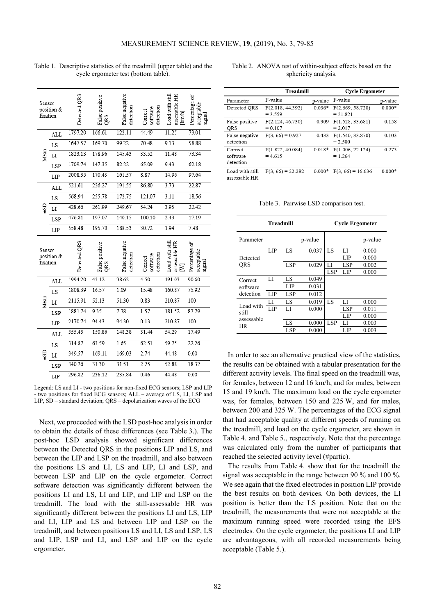| Sensor<br>position &<br>fixation |     | Detected QRS | False positive<br>QRS | False negative<br>detection | detection<br>software<br>Correct | assessable HR<br>Load with still<br>$\text{km/h}$ | Percentage of<br>acceptable<br>signal |
|----------------------------------|-----|--------------|-----------------------|-----------------------------|----------------------------------|---------------------------------------------------|---------------------------------------|
| Mean                             | ALL | 1797.20      | 166.61                | 122.11                      | 44.49                            | 11.25                                             | 73.01                                 |
|                                  | LS  | 1647.57      | 169.70                | 99.22                       | 70.48                            | 9.13                                              | 58.88                                 |
|                                  | LI  | 1823 13      | 178.96                | 145.43                      | 33.52                            | 11.48                                             | 73 34                                 |
|                                  | LSP | 1709.74      | 147.35                | 82.22                       | 65.09                            | 9.43                                              | 62.18                                 |
|                                  | LIP | 2008.35      | 170.43                | 161.57                      | 8.87                             | 14.96                                             | 97.64                                 |
|                                  | ALL | 521.61       | 226.27                | 191.55                      | 86.80                            | 3.73                                              | 22.87                                 |
|                                  | LS  | 568.94       | 255.78                | 172.75                      | 121.07                           | 3.11                                              | 18.56                                 |
| 럲                                | LI  | 428.66       | 261.99                | 249.67                      | 54.24                            | 3.95                                              | 22.42                                 |
|                                  | LSP | 476.81       | 197.07                | 140.15                      | 100.10                           | 2.43                                              | 17.19                                 |
|                                  | LIP | 558.48       | 195.70                | 188.53                      | 30.72                            | 1.94                                              | 7.48                                  |
| Sensor<br>position &<br>fixation |     |              |                       |                             |                                  |                                                   |                                       |
|                                  |     | Detected (   | False positive<br>QRS | False negative<br>detection | detection<br>software<br>Correct | Load with still<br>assessable HR<br>≥             | Percentage of<br>acceptable<br>sıgnal |
|                                  | ALL | 1994.20      | 43.12                 | 38.62                       | 4.50                             | 191.03                                            | 90.60                                 |
|                                  | LS  | 1808.39      | 16.57                 | 1.09                        | 15.48                            | 160.87                                            | 75.92                                 |
|                                  | LI  | 2115.91      | 52.13                 | 51.30                       | 0.83                             | 210.87                                            | 100                                   |
| Meau                             | LSP | 1881.74      | 9.35                  | 7.78                        | 1.57                             | 181.52                                            | 87.79                                 |
|                                  | LIP | 2170.74      | 94.43                 | 94.30                       | 0.13                             | 210.87                                            | 100                                   |
|                                  | ALL | 355.45       | 150.86                | 148.38                      | 31.44                            | 54.29                                             | 17.49                                 |
|                                  | LS  | 314.87       | 63.59                 | 1.65                        | 62.51                            | 59.75                                             | 22.26                                 |
|                                  | LI  | 349.57       | 169.11                | 169.03                      | 2.74                             | 44.48                                             | 0.00                                  |
| ₹S                               | LSP | 340.26       | 31.30                 | 31.51                       | 2.25                             | 52.88                                             | 18.32                                 |

Table 1. Descriptive statistics of the treadmill (upper table) and the cycle ergometer test (bottom table).

# Table 2. ANOVA test of within-subject effects based on the sphericity analysis.

| <b>Treadmill</b>                 |                               |          | <b>Cycle Ergometer</b>         |          |  |
|----------------------------------|-------------------------------|----------|--------------------------------|----------|--|
| Parameter                        | F-value                       | p-value  | F-value                        | p-value  |  |
| Detected QRS                     | F(2.018, 44.392)<br>$= 3.559$ | $0.036*$ | F(2.669, 58.720)<br>$= 21.821$ | $0.000*$ |  |
| False positive<br>QRS            | F(2.124, 46.730)<br>$= 0.107$ | 0.909    | F(1.528, 33.681)<br>$= 2.017$  | 0.158    |  |
| False negative<br>detection      | $F(3, 66) = 0.927$            | 0.433    | F(1.540, 33.870)<br>$= 2.580$  | 0.103    |  |
| Correct<br>software<br>detection | F(1.822, 40.084)<br>$= 4.615$ | $0.018*$ | F(1.006, 22.124)<br>$= 1.264$  | 0.273    |  |
| Load with still<br>assessable HR | $F(3, 66) = 22.282$           | $0.000*$ | $F(3, 66) = 16.636$            | $0.000*$ |  |

Table 3. Pairwise LSD comparison test.

|                    | <b>Treadmill</b> |     |         |            | <b>Cycle Ergometer</b> |         |  |  |
|--------------------|------------------|-----|---------|------------|------------------------|---------|--|--|
| Parameter          |                  |     | p-value |            |                        | p-value |  |  |
|                    | LIP              | LS  | 0.037   | LS         | LI                     | 0.000   |  |  |
| Detected           |                  |     |         |            | LIP                    | 0.000   |  |  |
| <b>ORS</b>         |                  | LSP | 0.029   | LI         | LSP                    | 0.002   |  |  |
|                    |                  |     |         | <b>LSP</b> | LIP                    | 0.000   |  |  |
| Correct            | LI               | LS  | 0.049   |            |                        |         |  |  |
| software           |                  | LIP | 0.031   |            |                        |         |  |  |
| detection          | LIP              | LSP | 0.012   |            |                        |         |  |  |
|                    | LI               | LS  | 0.019   | LS         | LI                     | 0.000   |  |  |
| Load with<br>still | LIP              | LI  | 0.000   |            | LSP                    | 0.011   |  |  |
| assessable         |                  |     |         |            | LIP                    | 0.000   |  |  |
| HR.                |                  | LS  | 0.000   | <b>LSP</b> | LI                     | 0.003   |  |  |
|                    |                  | LSP | 0.000   |            | LIP                    | 0.003   |  |  |

In order to see an alternative practical view of the statistics, the results can be obtained with a tabular presentation for the different activity levels. The final speed on the treadmill was, for females, between 12 and 16 km/h, and for males, between 15 and 19 km/h. The maximum load on the cycle ergometer was, for females, between 150 and 225 W, and for males, between 200 and 325 W. The percentages of the ECG signal that had acceptable quality at different speeds of running on the treadmill, and load on the cycle ergometer, are shown in Table 4. and Table 5., respectively. Note that the percentage was calculated only from the number of participants that reached the selected activity level (#partic).

The results from Table 4. show that for the treadmill the signal was acceptable in the range between 90 % and 100 %. We see again that the fixed electrodes in position LIP provide the best results on both devices. On both devices, the LI position is better than the LS position. Note that on the treadmill, the measurements that were not acceptable at the maximum running speed were recorded using the EFS electrodes. On the cycle ergometer, the positions LI and LIP are advantageous, with all recorded measurements being acceptable (Table 5.).

Next, we proceeded with the LSD post-hoc analysis in order to obtain the details of these differences (see Table 3.). The post-hoc LSD analysis showed significant differences between the Detected QRS in the positions LIP and LS, and between the LIP and LSP on the treadmill, and also between the positions LS and LI, LS and LIP, LI and LSP, and between LSP and LIP on the cycle ergometer. Correct software detection was significantly different between the positions LI and LS, LI and LIP, and LIP and LSP on the treadmill. The load with the still-assessable HR was significantly different between the positions LI and LS, LIP and LI, LIP and LS and between LIP and LSP on the treadmill, and between positions LS and LI, LS and LSP, LS and LIP, LSP and LI, and LSP and LIP on the cycle ergometer.

Legend: LS and LI - two positions for non-fixed ECG sensors; LSP and LIP - two positions for fixed ECG sensors; ALL – average of LS, LI, LSP and LIP, SD – standard deviation; QRS – depolarization waves of the ECG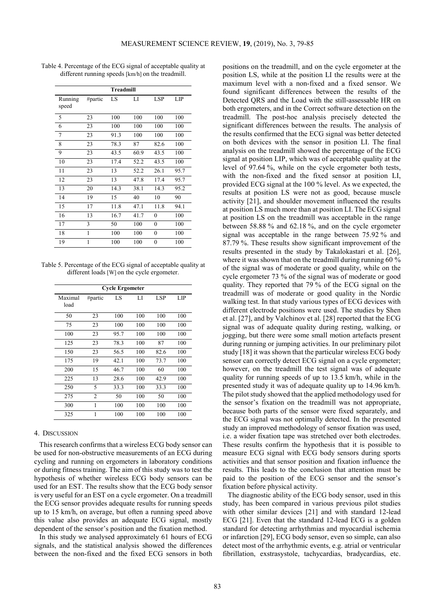|                  |         | Treadmill |      |              |      |
|------------------|---------|-----------|------|--------------|------|
| Running<br>speed | #partic | LS        | LI   | <b>LSP</b>   | LIP  |
| 5                | 23      | 100       | 100  | 100          | 100  |
| 6                | 23      | 100       | 100  | 100          | 100  |
| 7                | 23      | 91.3      | 100  | 100          | 100  |
| 8                | 23      | 78.3      | 87   | 82.6         | 100  |
| 9                | 23      | 43.5      | 60.9 | 43.5         | 100  |
| 10               | 23      | 17.4      | 52.2 | 43.5         | 100  |
| 11               | 23      | 13        | 52.2 | 26.1         | 95.7 |
| 12               | 23      | 13        | 47.8 | 17.4         | 95.7 |
| 13               | 20      | 14.3      | 38.1 | 14.3         | 95.2 |
| 14               | 19      | 15        | 40   | 10           | 90   |
| 15               | 17      | 11.8      | 47.1 | 11.8         | 94.1 |
| 16               | 13      | 16.7      | 41.7 | $\mathbf{0}$ | 100  |
| 17               | 3       | 50        | 100  | $\mathbf{0}$ | 100  |
| 18               | 1       | 100       | 100  | $\mathbf{0}$ | 100  |
| 19               | 1       | 100       | 100  | 0            | 100  |
|                  |         |           |      |              |      |

Table 4. Percentage of the ECG signal of acceptable quality at different running speeds [km/h] on the treadmill.

Table 5. Percentage of the ECG signal of acceptable quality at different loads [W] on the cycle ergometer.

| <b>Cycle Ergometer</b> |                |      |     |      |     |  |
|------------------------|----------------|------|-----|------|-----|--|
| Maximal<br>load        | #partic        | LS   | LI  | LSP  | LIP |  |
| 50                     | 23             | 100  | 100 | 100  | 100 |  |
| 75                     | 23             | 100  | 100 | 100  | 100 |  |
| 100                    | 23             | 95.7 | 100 | 100  | 100 |  |
| 125                    | 23             | 78.3 | 100 | 87   | 100 |  |
| 150                    | 23             | 56.5 | 100 | 82.6 | 100 |  |
| 175                    | 19             | 42.1 | 100 | 73.7 | 100 |  |
| 200                    | 15             | 46.7 | 100 | 60   | 100 |  |
| 225                    | 13             | 28.6 | 100 | 42.9 | 100 |  |
| 250                    | 5              | 33.3 | 100 | 33.3 | 100 |  |
| 275                    | $\overline{2}$ | 50   | 100 | 50   | 100 |  |
| 300                    | 1              | 100  | 100 | 100  | 100 |  |
| 325                    | 1              | 100  | 100 | 100  | 100 |  |

# 4. DISCUSSION

This research confirms that a wireless ECG body sensor can be used for non-obstructive measurements of an ECG during cycling and running on ergometers in laboratory conditions or during fitness training. The aim of this study was to test the hypothesis of whether wireless ECG body sensors can be used for an EST. The results show that the ECG body sensor is very useful for an EST on a cycle ergometer. On a treadmill the ECG sensor provides adequate results for running speeds up to 15 km/h, on average, but often a running speed above this value also provides an adequate ECG signal, mostly dependent of the sensor's position and the fixation method.

In this study we analysed approximately 61 hours of ECG signals, and the statistical analysis showed the differences between the non-fixed and the fixed ECG sensors in both positions on the treadmill, and on the cycle ergometer at the position LS, while at the position LI the results were at the maximum level with a non-fixed and a fixed sensor. We found significant differences between the results of the Detected QRS and the Load with the still-assessable HR on both ergometers, and in the Correct software detection on the treadmill. The post-hoc analysis precisely detected the significant differences between the results. The analysis of the results confirmed that the ECG signal was better detected on both devices with the sensor in position LI. The final analysis on the treadmill showed the percentage of the ECG signal at position LIP, which was of acceptable quality at the level of 97.64 %, while on the cycle ergometer both tests, with the non-fixed and the fixed sensor at position LI, provided ECG signal at the 100 % level. As we expected, the results at position LS were not as good, because muscle activity [21], and shoulder movement influenced the results at position LS much more than at position LI. The ECG signal at position LS on the treadmill was acceptable in the range between 58.88 % and 62.18 %, and on the cycle ergometer signal was acceptable in the range between 75.92 % and 87.79 %. These results show significant improvement of the results presented in the study by Takalokastari et al. [26], where it was shown that on the treadmill during running 60 % of the signal was of moderate or good quality, while on the cycle ergometer 73 % of the signal was of moderate or good quality. They reported that 79 % of the ECG signal on the treadmill was of moderate or good quality in the Nordic walking test. In that study various types of ECG devices with different electrode positions were used. The studies by Shen et al. [27], and by Valchinov et al. [28] reported that the ECG signal was of adequate quality during resting, walking, or jogging, but there were some small motion artefacts present during running or jumping activities. In our preliminary pilot study [18] it was shown that the particular wireless ECG body sensor can correctly detect ECG signal on a cycle ergometer; however, on the treadmill the test signal was of adequate quality for running speeds of up to 13.5 km/h, while in the presented study it was of adequate quality up to 14.96 km/h. The pilot study showed that the applied methodology used for the sensor's fixation on the treadmill was not appropriate, because both parts of the sensor were fixed separately, and the ECG signal was not optimally detected. In the presented study an improved methodology of sensor fixation was used, i.e. a wider fixation tape was stretched over both electrodes. These results confirm the hypothesis that it is possible to measure ECG signal with ECG body sensors during sports activities and that sensor position and fixation influence the results. This leads to the conclusion that attention must be paid to the position of the ECG sensor and the sensor's fixation before physical activity.

The diagnostic ability of the ECG body sensor, used in this study, has been compared in various previous pilot studies with other similar devices [21] and with standard 12-lead ECG [21]. Even that the standard 12-lead ECG is a golden standard for detecting arrhythmias and myocardial ischemia or infarction [29], ECG body sensor, even so simple, can also detect most of the arrhythmic events, e.g. atrial or ventricular fibrillation, exstrasystole, tachycardias, bradycardias, etc.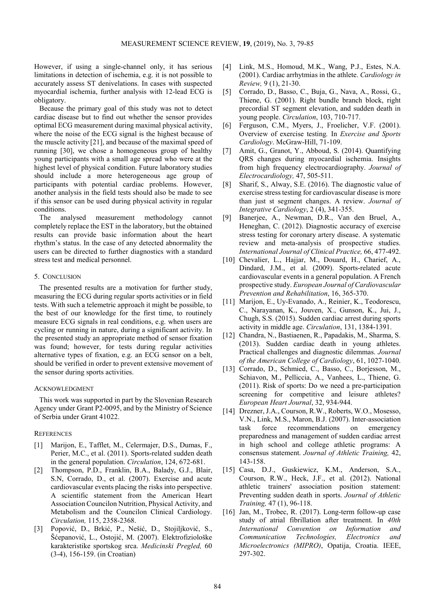However, if using a single-channel only, it has serious limitations in detection of ischemia, e.g. it is not possible to accurately assess ST denivelations. In cases with suspected myocardial ischemia, further analysis with 12-lead ECG is obligatory.

Because the primary goal of this study was not to detect cardiac disease but to find out whether the sensor provides optimal ECG measurement during maximal physical activity, where the noise of the ECG signal is the highest because of the muscle activity [21], and because of the maximal speed of running [30], we chose a homogeneous group of healthy young participants with a small age spread who were at the highest level of physical condition. Future laboratory studies should include a more heterogeneous age group of participants with potential cardiac problems. However, another analysis in the field tests should also be made to see if this sensor can be used during physical activity in regular conditions.

The analysed measurement methodology cannot completely replace the EST in the laboratory, but the obtained results can provide basic information about the heart rhythm's status. In the case of any detected abnormality the users can be directed to further diagnostics with a standard stress test and medical personnel.

## 5. CONCLUSION

The presented results are a motivation for further study, measuring the ECG during regular sports activities or in field tests. With such a telemetric approach it might be possible, to the best of our knowledge for the first time, to routinely measure ECG signals in real conditions, e.g. when users are cycling or running in nature, during a significant activity. In the presented study an appropriate method of sensor fixation was found; however, for tests during regular activities alternative types of fixation, e.g. an ECG sensor on a belt, should be verified in order to prevent extensive movement of the sensor during sports activities.

## ACKNOWLEDGMENT

This work was supported in part by the Slovenian Research Agency under Grant P2-0095, and by the Ministry of Science of Serbia under Grant 41022.

# **REFERENCES**

- [1] Marijon, E., Tafflet, M., Celermajer, D.S., Dumas, F., Perier, M.C., et al. (2011). Sports-related sudden death in the general population. *Circulation*, 124, 672-681.
- [2] Thompson, P.D., Franklin, B.A., Balady, G.J., Blair, S.N, Corrado, D., et al. (2007). Exercise and acute cardiovascular events placing the risks into perspective. A scientific statement from the American Heart Association Councilon Nutrition, Physical Activity, and Metabolism and the Councilon Clinical Cardiology. *Circulation,* 115, 2358-2368.
- [3] Popović, D., Brkić, P., Nešić, D., Stojiljković, S., Šćepanović, L., Ostojić, M. (2007). Elektrofiziološke karakteristike sportskog srca. *Medicinski Pregled,* 60 (3-4), 156-159. (in Croatian)
- [4] Link, M.S., Homoud, M.K., Wang, P.J., Estes, N.A. (2001). Cardiac arrhytmias in the athlete. *Cardiology in Review,* 9 (1), 21-30.
- [5] Corrado, D., Basso, C., Buja, G., Nava, A., Rossi, G., Thiene, G. (2001). Right bundle branch block, right precordial ST segment elevation, and sudden death in young people. *Circulation*, 103, 710-717.
- [6] Ferguson, C.M., Myers, J., Froelicher, V.F. (2001). Overview of exercise testing*.* In *Exercise and Sports Cardiology*. McGraw-Hill, 71-109.
- [7] Amit, G., Granot, Y., Abboud, S. (2014). Quantifying QRS changes during myocardial ischemia. Insights from high frequency electrocardiography. *Journal of Electrocardiology,* 47, 505-511.
- [8] Sharif, S., Alway, S.E. (2016). The diagnostic value of exercise stress testing for cardiovascular disease is more than just st segment changes. A review. *Journal of Integrative Cardiology*, 2 (4), 341-355.
- [9] Banerjee, A., Newman, D.R., Van den Bruel, A., Heneghan, C. (2012). Diagnostic accuracy of exercise stress testing for coronary artery disease. A systematic review and meta-analysis of prospective studies. *International Journal of Clinical Practice,* 66, 477-492.
- [10] Chevalier, L., Hajjar, M., Douard, H., Charief, A., Dindard, J.M., et al. (2009). Sports-related acute cardiovascular events in a general population. A French prospective study. *European Journal of Cardiovascular Prevention and Rehabilitation*, 16, 365-370.
- [11] Marijon, E., Uy-Evanado, A., Reinier, K., Teodorescu, C., Narayanan, K., Jouven, X., Gunson, K., Jui, J., Chugh, S.S. (2015). Sudden cardiac arrest during sports activity in middle age. *Circulation*, 131, 1384-1391.
- [12] Chandra, N., Bastiaenen, R., Papadakis, M., Sharma, S. (2013). Sudden cardiac death in young athletes. Practical challenges and diagnostic dilemmas. *Journal of the American College of Cardiology*, 61, 1027-1040.
- [13] Corrado, D., Schmied, C., Basso, C., Borjesson, M., Schiavon, M., Pelliccia, A., Vanhees, L., Thiene, G. (2011). Risk of sports: Do we need a pre-participation screening for competitive and leisure athletes? *European Heart Journal*, 32, 934-944.
- [14] Drezner, J.A., Courson, R.W., Roberts, W.O., Mosesso, V.N., Link, M.S., Maron, B.J. (2007). Inter-association task force recommendations on emergency preparedness and management of sudden cardiac arrest in high school and college athletic programs: A consensus statement. *Journal of Athletic Training,* 42, 143-158.
- [15] Casa, D.J., Guskiewicz, K.M., Anderson, S.A., Courson, R.W., Heck, J.F., et al. (2012). National athletic trainers' association position statement: Preventing sudden death in sports. *Journal of Athletic Training,* 47 (1), 96-118.
- [16] Jan, M., Trobec, R. (2017). Long-term follow-up case study of atrial fibrillation after treatment. In *40th International Convention on Information and Communication Technologies, Electronics and Microelectronics (MIPRO)*, Opatija, Croatia. IEEE, 297-302.